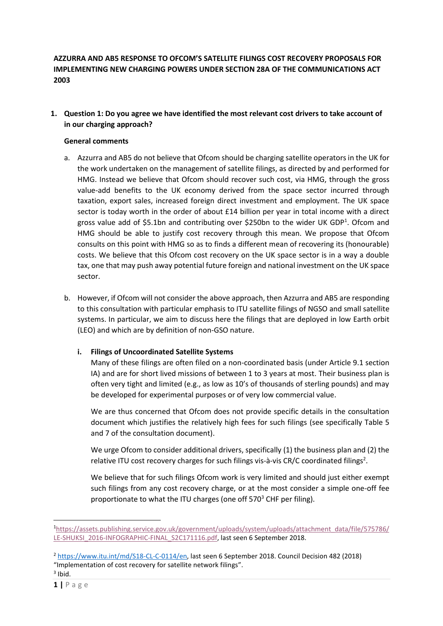# **AZZURRA AND AB5 RESPONSE TO OFCOM'S SATELLITE FILINGS COST RECOVERY PROPOSALS FOR IMPLEMENTING NEW CHARGING POWERS UNDER SECTION 28A OF THE COMMUNICATIONS ACT 2003**

**1. Question 1: Do you agree we have identified the most relevant cost drivers to take account of in our charging approach?**

### **General comments**

- a. Azzurra and AB5 do not believe that Ofcom should be charging satellite operators in the UK for the work undertaken on the management of satellite filings, as directed by and performed for HMG. Instead we believe that Ofcom should recover such cost, via HMG, through the gross value-add benefits to the UK economy derived from the space sector incurred through taxation, export sales, increased foreign direct investment and employment. The UK space sector is today worth in the order of about £14 billion per year in total income with a direct gross value add of \$5.1bn and contributing over \$250bn to the wider UK GDP<sup>1</sup>. Ofcom and HMG should be able to justify cost recovery through this mean. We propose that Ofcom consults on this point with HMG so as to finds a different mean of recovering its (honourable) costs. We believe that this Ofcom cost recovery on the UK space sector is in a way a double tax, one that may push away potential future foreign and national investment on the UK space sector.
- b. However, if Ofcom will not consider the above approach, then Azzurra and AB5 are responding to this consultation with particular emphasis to ITU satellite filings of NGSO and small satellite systems. In particular, we aim to discuss here the filings that are deployed in low Earth orbit (LEO) and which are by definition of non-GSO nature.

## **i. Filings of Uncoordinated Satellite Systems**

Many of these filings are often filed on a non-coordinated basis (under Article 9.1 section IA) and are for short lived missions of between 1 to 3 years at most. Their business plan is often very tight and limited (e.g., as low as 10's of thousands of sterling pounds) and may be developed for experimental purposes or of very low commercial value.

We are thus concerned that Ofcom does not provide specific details in the consultation document which justifies the relatively high fees for such filings (see specifically Table 5 and 7 of the consultation document).

We urge Ofcom to consider additional drivers, specifically (1) the business plan and (2) the relative ITU cost recovery charges for such filings vis-à-vis CR/C coordinated filings<sup>2</sup>.

We believe that for such filings Ofcom work is very limited and should just either exempt such filings from any cost recovery charge, or at the most consider a simple one-off fee proportionate to what the ITU charges (one off  $570<sup>3</sup>$  CHF per filing).

1

<sup>1</sup>[https://assets.publishing.service.gov.uk/government/uploads/system/uploads/attachment\\_data/file/575786/](https://assets.publishing.service.gov.uk/government/uploads/system/uploads/attachment_data/file/575786/LE-SHUKSI_2016-INFOGRAPHIC-FINAL_S2C171116.pdf) [LE-SHUKSI\\_2016-INFOGRAPHIC-FINAL\\_S2C171116.pdf,](https://assets.publishing.service.gov.uk/government/uploads/system/uploads/attachment_data/file/575786/LE-SHUKSI_2016-INFOGRAPHIC-FINAL_S2C171116.pdf) last seen 6 September 2018.

<sup>2</sup> [https://www.itu.int/md/S18-CL-C-0114/en,](https://www.itu.int/md/S18-CL-C-0114/en) last seen 6 September 2018. Council Decision 482 (2018) "Implementation of cost recovery for satellite network filings".

 $3$  Ibid.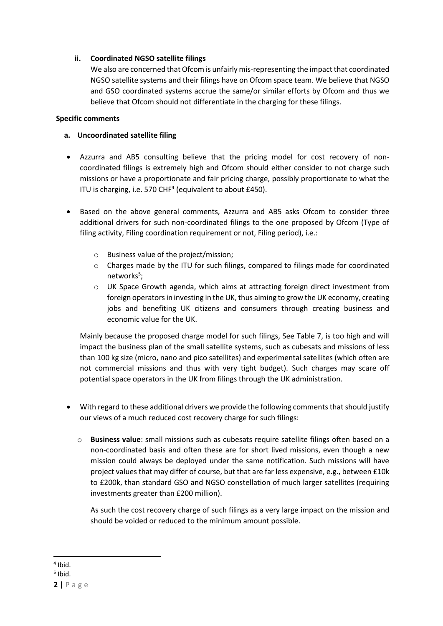## **ii. Coordinated NGSO satellite filings**

We also are concerned that Ofcom is unfairly mis-representing the impact that coordinated NGSO satellite systems and their filings have on Ofcom space team. We believe that NGSO and GSO coordinated systems accrue the same/or similar efforts by Ofcom and thus we believe that Ofcom should not differentiate in the charging for these filings.

## **Specific comments**

# **a. Uncoordinated satellite filing**

- Azzurra and AB5 consulting believe that the pricing model for cost recovery of noncoordinated filings is extremely high and Ofcom should either consider to not charge such missions or have a proportionate and fair pricing charge, possibly proportionate to what the ITU is charging, i.e. 570 CHF<sup>4</sup> (equivalent to about £450).
- Based on the above general comments, Azzurra and AB5 asks Ofcom to consider three additional drivers for such non-coordinated filings to the one proposed by Ofcom (Type of filing activity, Filing coordination requirement or not, Filing period), i.e.:
	- o Business value of the project/mission;
	- o Charges made by the ITU for such filings, compared to filings made for coordinated networks<sup>5</sup>;
	- $\circ$  UK Space Growth agenda, which aims at attracting foreign direct investment from foreign operators in investing in the UK, thus aiming to grow the UK economy, creating jobs and benefiting UK citizens and consumers through creating business and economic value for the UK.

Mainly because the proposed charge model for such filings, See Table 7, is too high and will impact the business plan of the small satellite systems, such as cubesats and missions of less than 100 kg size (micro, nano and pico satellites) and experimental satellites (which often are not commercial missions and thus with very tight budget). Such charges may scare off potential space operators in the UK from filings through the UK administration.

- With regard to these additional drivers we provide the following comments that should justify our views of a much reduced cost recovery charge for such filings:
	- o **Business value**: small missions such as cubesats require satellite filings often based on a non-coordinated basis and often these are for short lived missions, even though a new mission could always be deployed under the same notification. Such missions will have project values that may differ of course, but that are far less expensive, e.g., between £10k to £200k, than standard GSO and NGSO constellation of much larger satellites (requiring investments greater than £200 million).

As such the cost recovery charge of such filings as a very large impact on the mission and should be voided or reduced to the minimum amount possible.

 $\overline{a}$ 4 Ibid.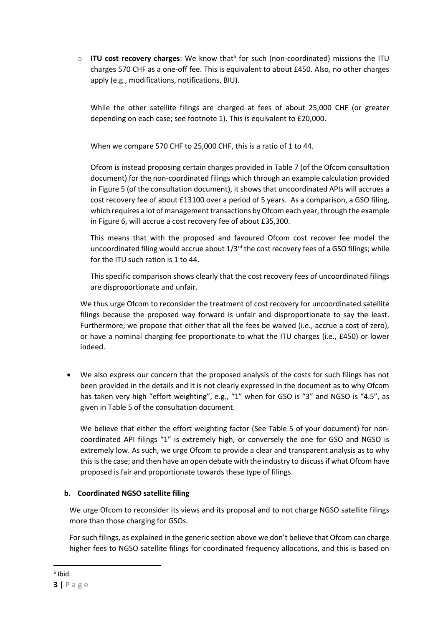o **ITU cost recovery charges**: We know that<sup>6</sup> for such (non-coordinated) missions the ITU charges 570 CHF as a one-off fee. This is equivalent to about £450. Also, no other charges apply (e.g., modifications, notifications, BIU).

While the other satellite filings are charged at fees of about 25,000 CHF (or greater depending on each case; see footnote 1). This is equivalent to £20,000.

When we compare 570 CHF to 25,000 CHF, this is a ratio of 1 to 44.

Ofcom is instead proposing certain charges provided in Table 7 (of the Ofcom consultation document) for the non-coordinated filings which through an example calculation provided in Figure 5 (of the consultation document), it shows that uncoordinated APIs will accrues a cost recovery fee of about £13100 over a period of 5 years. As a comparison, a GSO filing, which requires a lot of management transactions by Ofcom each year, through the example in Figure 6, will accrue a cost recovery fee of about £35,300.

This means that with the proposed and favoured Ofcom cost recover fee model the uncoordinated filing would accrue about  $1/3^{rd}$  the cost recovery fees of a GSO filings; while for the ITU such ration is 1 to 44.

This specific comparison shows clearly that the cost recovery fees of uncoordinated filings are disproportionate and unfair.

We thus urge Ofcom to reconsider the treatment of cost recovery for uncoordinated satellite filings because the proposed way forward is unfair and disproportionate to say the least. Furthermore, we propose that either that all the fees be waived (i.e., accrue a cost of zero), or have a nominal charging fee proportionate to what the ITU charges (i.e., £450) or lower indeed.

• We also express our concern that the proposed analysis of the costs for such filings has not been provided in the details and it is not clearly expressed in the document as to why Ofcom has taken very high "effort weighting", e.g., "1" when for GSO is "3" and NGSO is "4.5", as given in Table 5 of the consultation document.

We believe that either the effort weighting factor (See Table 5 of your document) for noncoordinated API filings "1" is extremely high, or conversely the one for GSO and NGSO is extremely low. As such, we urge Ofcom to provide a clear and transparent analysis as to why this is the case; and then have an open debate with the industry to discuss if what Ofcom have proposed is fair and proportionate towards these type of filings.

# **b. Coordinated NGSO satellite filing**

We urge Ofcom to reconsider its views and its proposal and to not charge NGSO satellite filings more than those charging for GSOs.

For such filings, as explained in the generic section above we don't believe that Ofcom can charge higher fees to NGSO satellite filings for coordinated frequency allocations, and this is based on

**.**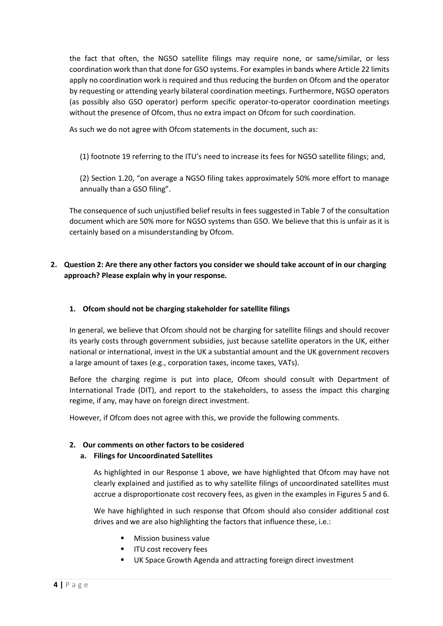the fact that often, the NGSO satellite filings may require none, or same/similar, or less coordination work than that done for GSO systems. For examples in bands where Article 22 limits apply no coordination work is required and thus reducing the burden on Ofcom and the operator by requesting or attending yearly bilateral coordination meetings. Furthermore, NGSO operators (as possibly also GSO operator) perform specific operator-to-operator coordination meetings without the presence of Ofcom, thus no extra impact on Ofcom for such coordination.

As such we do not agree with Ofcom statements in the document, such as:

(1) footnote 19 referring to the ITU's need to increase its fees for NGSO satellite filings; and,

(2) Section 1.20, "on average a NGSO filing takes approximately 50% more effort to manage annually than a GSO filing".

The consequence of such unjustified belief results in fees suggested in Table 7 of the consultation document which are 50% more for NGSO systems than GSO. We believe that this is unfair as it is certainly based on a misunderstanding by Ofcom.

# **2. Question 2: Are there any other factors you consider we should take account of in our charging approach? Please explain why in your response.**

### **1. Ofcom should not be charging stakeholder for satellite filings**

In general, we believe that Ofcom should not be charging for satellite filings and should recover its yearly costs through government subsidies, just because satellite operators in the UK, either national or international, invest in the UK a substantial amount and the UK government recovers a large amount of taxes (e.g., corporation taxes, income taxes, VATs).

Before the charging regime is put into place, Ofcom should consult with Department of International Trade (DIT), and report to the stakeholders, to assess the impact this charging regime, if any, may have on foreign direct investment.

However, if Ofcom does not agree with this, we provide the following comments.

#### **2. Our comments on other factors to be cosidered**

#### **a. Filings for Uncoordinated Satellites**

As highlighted in our Response 1 above, we have highlighted that Ofcom may have not clearly explained and justified as to why satellite filings of uncoordinated satellites must accrue a disproportionate cost recovery fees, as given in the examples in Figures 5 and 6.

We have highlighted in such response that Ofcom should also consider additional cost drives and we are also highlighting the factors that influence these, i.e.:

- **Mission business value**
- ITU cost recovery fees
- UK Space Growth Agenda and attracting foreign direct investment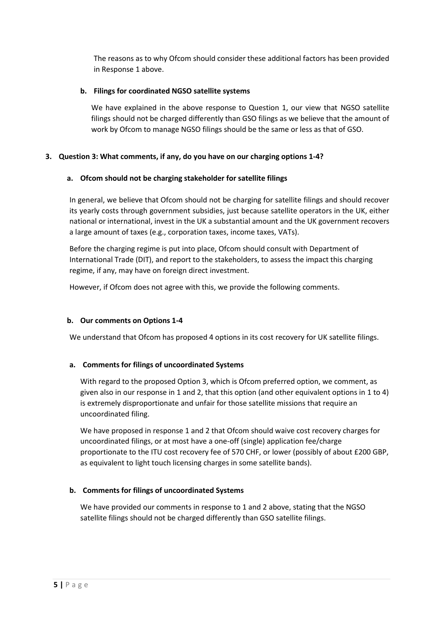The reasons as to why Ofcom should consider these additional factors has been provided in Response 1 above.

### **b. Filings for coordinated NGSO satellite systems**

We have explained in the above response to Question 1, our view that NGSO satellite filings should not be charged differently than GSO filings as we believe that the amount of work by Ofcom to manage NGSO filings should be the same or less as that of GSO.

### **3. Question 3: What comments, if any, do you have on our charging options 1-4?**

### **a. Ofcom should not be charging stakeholder for satellite filings**

In general, we believe that Ofcom should not be charging for satellite filings and should recover its yearly costs through government subsidies, just because satellite operators in the UK, either national or international, invest in the UK a substantial amount and the UK government recovers a large amount of taxes (e.g., corporation taxes, income taxes, VATs).

Before the charging regime is put into place, Ofcom should consult with Department of International Trade (DIT), and report to the stakeholders, to assess the impact this charging regime, if any, may have on foreign direct investment.

However, if Ofcom does not agree with this, we provide the following comments.

## **b. Our comments on Options 1-4**

We understand that Ofcom has proposed 4 options in its cost recovery for UK satellite filings.

## **a. Comments for filings of uncoordinated Systems**

With regard to the proposed Option 3, which is Ofcom preferred option, we comment, as given also in our response in 1 and 2, that this option (and other equivalent options in 1 to 4) is extremely disproportionate and unfair for those satellite missions that require an uncoordinated filing.

We have proposed in response 1 and 2 that Ofcom should waive cost recovery charges for uncoordinated filings, or at most have a one-off (single) application fee/charge proportionate to the ITU cost recovery fee of 570 CHF, or lower (possibly of about £200 GBP, as equivalent to light touch licensing charges in some satellite bands).

## **b. Comments for filings of uncoordinated Systems**

We have provided our comments in response to 1 and 2 above, stating that the NGSO satellite filings should not be charged differently than GSO satellite filings.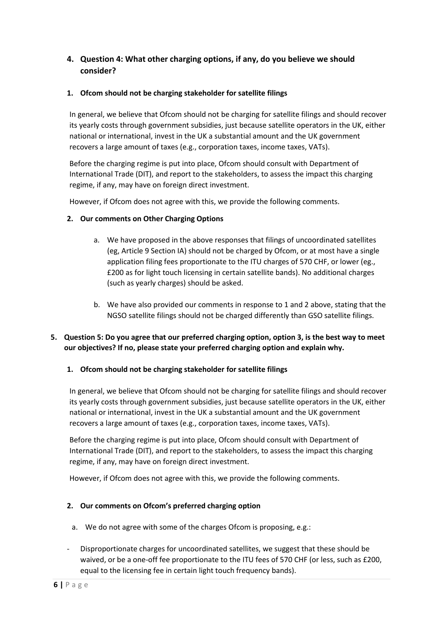# **4. Question 4: What other charging options, if any, do you believe we should consider?**

# **1. Ofcom should not be charging stakeholder for satellite filings**

In general, we believe that Ofcom should not be charging for satellite filings and should recover its yearly costs through government subsidies, just because satellite operators in the UK, either national or international, invest in the UK a substantial amount and the UK government recovers a large amount of taxes (e.g., corporation taxes, income taxes, VATs).

Before the charging regime is put into place, Ofcom should consult with Department of International Trade (DIT), and report to the stakeholders, to assess the impact this charging regime, if any, may have on foreign direct investment.

However, if Ofcom does not agree with this, we provide the following comments.

# **2. Our comments on Other Charging Options**

- a. We have proposed in the above responses that filings of uncoordinated satellites (eg, Article 9 Section IA) should not be charged by Ofcom, or at most have a single application filing fees proportionate to the ITU charges of 570 CHF, or lower (eg., £200 as for light touch licensing in certain satellite bands). No additional charges (such as yearly charges) should be asked.
- b. We have also provided our comments in response to 1 and 2 above, stating that the NGSO satellite filings should not be charged differently than GSO satellite filings.

# **5. Question 5: Do you agree that our preferred charging option, option 3, is the best way to meet our objectives? If no, please state your preferred charging option and explain why.**

## **1. Ofcom should not be charging stakeholder for satellite filings**

In general, we believe that Ofcom should not be charging for satellite filings and should recover its yearly costs through government subsidies, just because satellite operators in the UK, either national or international, invest in the UK a substantial amount and the UK government recovers a large amount of taxes (e.g., corporation taxes, income taxes, VATs).

Before the charging regime is put into place, Ofcom should consult with Department of International Trade (DIT), and report to the stakeholders, to assess the impact this charging regime, if any, may have on foreign direct investment.

However, if Ofcom does not agree with this, we provide the following comments.

## **2. Our comments on Ofcom's preferred charging option**

- a. We do not agree with some of the charges Ofcom is proposing, e.g.:
- Disproportionate charges for uncoordinated satellites, we suggest that these should be waived, or be a one-off fee proportionate to the ITU fees of 570 CHF (or less, such as £200, equal to the licensing fee in certain light touch frequency bands).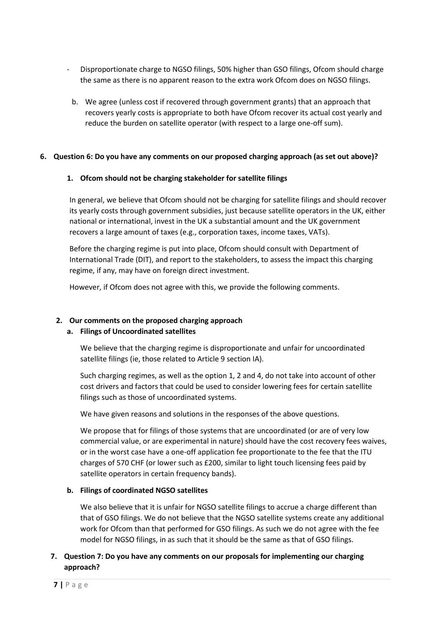- Disproportionate charge to NGSO filings, 50% higher than GSO filings, Ofcom should charge the same as there is no apparent reason to the extra work Ofcom does on NGSO filings.
	- b. We agree (unless cost if recovered through government grants) that an approach that recovers yearly costs is appropriate to both have Ofcom recover its actual cost yearly and reduce the burden on satellite operator (with respect to a large one-off sum).

### **6. Question 6: Do you have any comments on our proposed charging approach (as set out above)?**

### **1. Ofcom should not be charging stakeholder for satellite filings**

In general, we believe that Ofcom should not be charging for satellite filings and should recover its yearly costs through government subsidies, just because satellite operators in the UK, either national or international, invest in the UK a substantial amount and the UK government recovers a large amount of taxes (e.g., corporation taxes, income taxes, VATs).

Before the charging regime is put into place, Ofcom should consult with Department of International Trade (DIT), and report to the stakeholders, to assess the impact this charging regime, if any, may have on foreign direct investment.

However, if Ofcom does not agree with this, we provide the following comments.

## **2. Our comments on the proposed charging approach**

## **a. Filings of Uncoordinated satellites**

We believe that the charging regime is disproportionate and unfair for uncoordinated satellite filings (ie, those related to Article 9 section IA).

Such charging regimes, as well as the option 1, 2 and 4, do not take into account of other cost drivers and factors that could be used to consider lowering fees for certain satellite filings such as those of uncoordinated systems.

We have given reasons and solutions in the responses of the above questions.

We propose that for filings of those systems that are uncoordinated (or are of very low commercial value, or are experimental in nature) should have the cost recovery fees waives, or in the worst case have a one-off application fee proportionate to the fee that the ITU charges of 570 CHF (or lower such as £200, similar to light touch licensing fees paid by satellite operators in certain frequency bands).

## **b. Filings of coordinated NGSO satellites**

We also believe that it is unfair for NGSO satellite filings to accrue a charge different than that of GSO filings. We do not believe that the NGSO satellite systems create any additional work for Ofcom than that performed for GSO filings. As such we do not agree with the fee model for NGSO filings, in as such that it should be the same as that of GSO filings.

# **7. Question 7: Do you have any comments on our proposals for implementing our charging approach?**